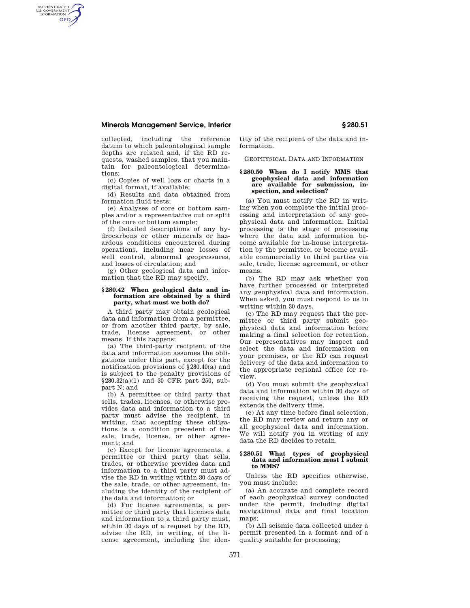# **Minerals Management Service, Interior § 280.51**

AUTHENTICATED<br>U.S. GOVERNMENT<br>INFORMATION **GPO** 

> collected, including the reference datum to which paleontological sample depths are related and, if the RD requests, washed samples, that you maintain for paleontological determinations;

> (c) Copies of well logs or charts in a digital format, if available;

> (d) Results and data obtained from formation fluid tests;

> (e) Analyses of core or bottom samples and/or a representative cut or split of the core or bottom sample;

> (f) Detailed descriptions of any hydrocarbons or other minerals or hazardous conditions encountered during operations, including near losses of well control, abnormal geopressures, and losses of circulation; and

> (g) Other geological data and information that the RD may specify.

## **§ 280.42 When geological data and information are obtained by a third party, what must we both do?**

A third party may obtain geological data and information from a permittee, or from another third party, by sale, trade, license agreement, or other means. If this happens:

(a) The third-party recipient of the data and information assumes the obligations under this part, except for the notification provisions of §280.40(a) and is subject to the penalty provisions of §280.32(a)(1) and 30 CFR part 250, subpart N; and

(b) A permittee or third party that sells, trades, licenses, or otherwise provides data and information to a third party must advise the recipient, in writing, that accepting these obligations is a condition precedent of the sale, trade, license, or other agreement; and

(c) Except for license agreements, a permittee or third party that sells, trades, or otherwise provides data and information to a third party must advise the RD in writing within 30 days of the sale, trade, or other agreement, including the identity of the recipient of the data and information; or

(d) For license agreements, a permittee or third party that licenses data and information to a third party must, within 30 days of a request by the RD, advise the RD, in writing, of the license agreement, including the identity of the recipient of the data and information.

GEOPHYSICAL DATA AND INFORMATION

## **§ 280.50 When do I notify MMS that geophysical data and information are available for submission, inspection, and selection?**

(a) You must notify the RD in writing when you complete the initial processing and interpretation of any geophysical data and information. Initial processing is the stage of processing where the data and information become available for in-house interpretation by the permittee, or become available commercially to third parties via sale, trade, license agreement, or other means.

(b) The RD may ask whether you have further processed or interpreted any geophysical data and information. When asked, you must respond to us in writing within 30 days.

(c) The RD may request that the permittee or third party submit geophysical data and information before making a final selection for retention. Our representatives may inspect and select the data and information on your premises, or the RD can request delivery of the data and information to the appropriate regional office for review.

(d) You must submit the geophysical data and information within 30 days of receiving the request, unless the RD extends the delivery time.

(e) At any time before final selection, the RD may review and return any or all geophysical data and information. We will notify you in writing of any data the RD decides to retain.

## **§ 280.51 What types of geophysical data and information must I submit to MMS?**

Unless the RD specifies otherwise, you must include:

(a) An accurate and complete record of each geophysical survey conducted under the permit, including digital navigational data and final location maps;

(b) All seismic data collected under a permit presented in a format and of a quality suitable for processing;